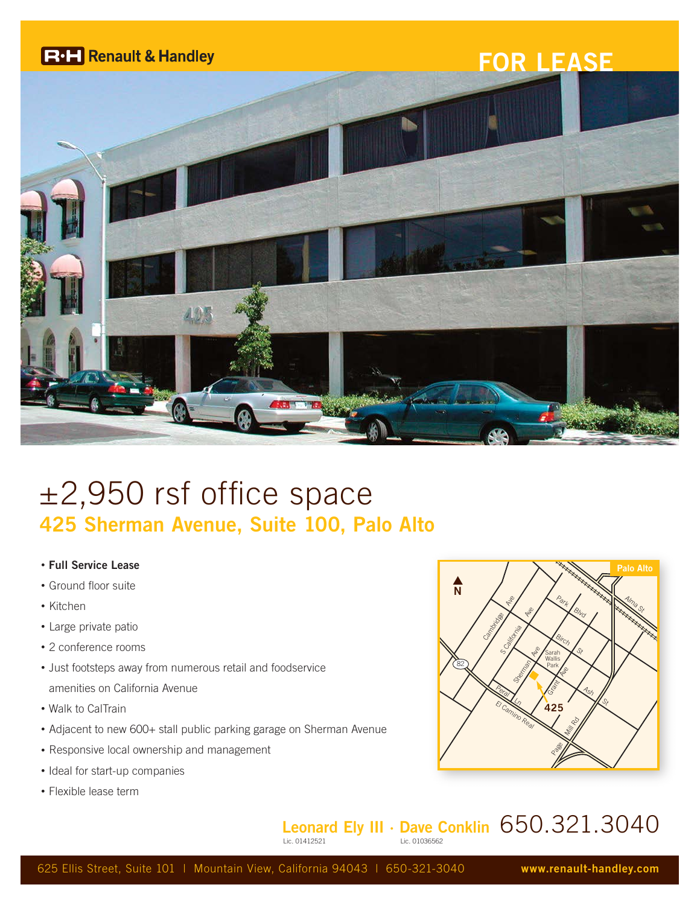

# ±2,950 rsf office space **425 Sherman Avenue, Suite 100, Palo Alto**

- **Full Service Lease**
- Ground floor suite
- Kitchen
- Large private patio
- 2 conference rooms
- Just footsteps away from numerous retail and foodservice amenities on California Avenue
- Walk to CalTrain
- Adjacent to new 600+ stall public parking garage on Sherman Avenue
- Responsive local ownership and management
- Ideal for start-up companies
- Flexible lease term



#### **Leonard Ely III · Dave Conklin** 650.321.3040 Lic. 01036562

625 Ellis Street, Suite 101 | Mountain View, California 94043 | 650-321-3040 **www.renault-handley.com**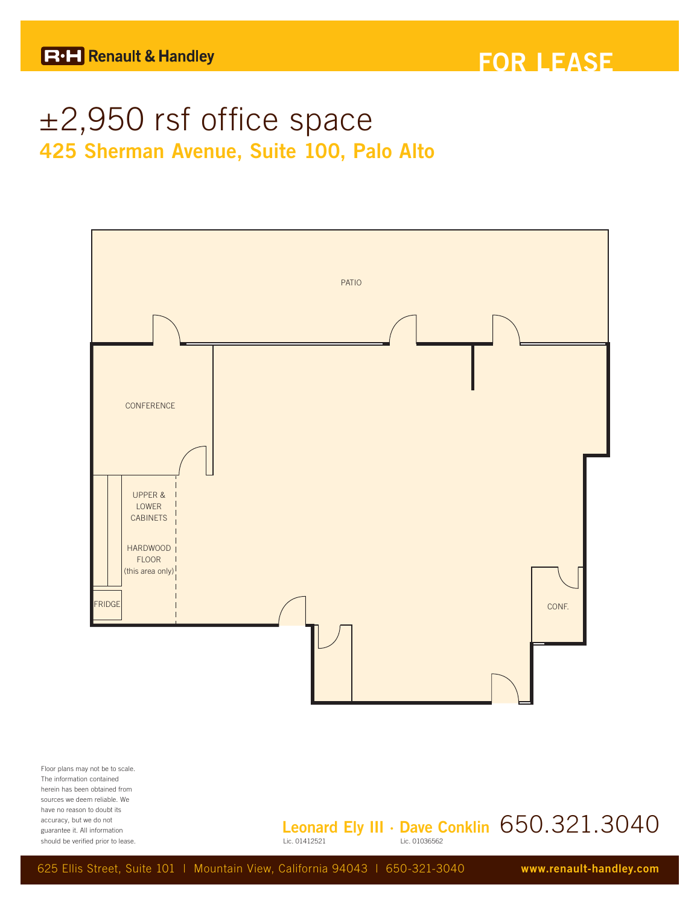## ±2,950 rsf office space **425 Sherman Avenue, Suite 100, Palo Alto**



The information contained herein has been obtained from sources we deem reliable. We have no reason to doubt its accuracy, but we do not guarantee it. All information should be verified prior to lease.

#### **Leonard Ely III · Dave Conklin**  $650.321.3040$ Lic. 01036562

625 Ellis Street, Suite 101 | Mountain View, California 94043 | 650-321-3040 **www.renault-handley.com**